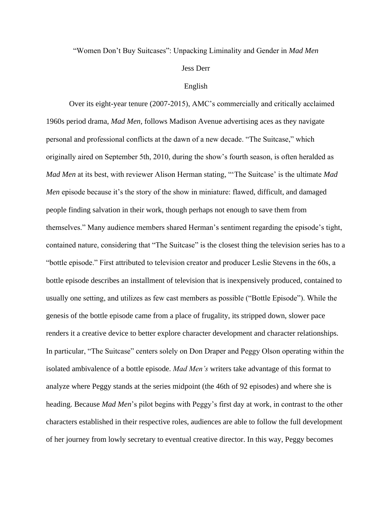## "Women Don't Buy Suitcases": Unpacking Liminality and Gender in *Mad Men*

## Jess Derr

## English

Over its eight-year tenure (2007-2015), AMC's commercially and critically acclaimed 1960s period drama, *Mad Men,* follows Madison Avenue advertising aces as they navigate personal and professional conflicts at the dawn of a new decade. "The Suitcase," which originally aired on September 5th, 2010, during the show's fourth season, is often heralded as *Mad Men* at its best, with reviewer Alison Herman stating, "'The Suitcase' is the ultimate *Mad Men* episode because it's the story of the show in miniature: flawed, difficult, and damaged people finding salvation in their work, though perhaps not enough to save them from themselves." Many audience members shared Herman's sentiment regarding the episode's tight, contained nature, considering that "The Suitcase" is the closest thing the television series has to a "bottle episode." First attributed to television creator and producer Leslie Stevens in the 60s, a bottle episode describes an installment of television that is inexpensively produced, contained to usually one setting, and utilizes as few cast members as possible ("Bottle Episode"). While the genesis of the bottle episode came from a place of frugality, its stripped down, slower pace renders it a creative device to better explore character development and character relationships. In particular, "The Suitcase" centers solely on Don Draper and Peggy Olson operating within the isolated ambivalence of a bottle episode. *Mad Men's* writers take advantage of this format to analyze where Peggy stands at the series midpoint (the 46th of 92 episodes) and where she is heading. Because *Mad Men*'s pilot begins with Peggy's first day at work, in contrast to the other characters established in their respective roles, audiences are able to follow the full development of her journey from lowly secretary to eventual creative director. In this way, Peggy becomes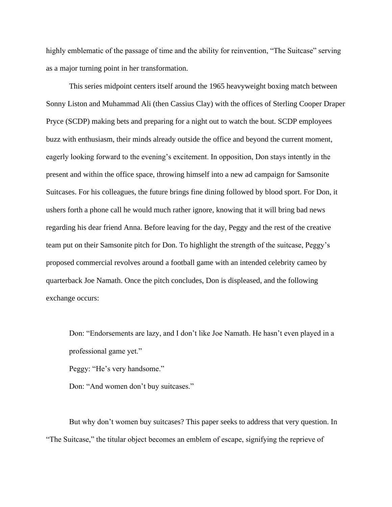highly emblematic of the passage of time and the ability for reinvention, "The Suitcase" serving as a major turning point in her transformation.

This series midpoint centers itself around the 1965 heavyweight boxing match between Sonny Liston and Muhammad Ali (then Cassius Clay) with the offices of Sterling Cooper Draper Pryce (SCDP) making bets and preparing for a night out to watch the bout. SCDP employees buzz with enthusiasm, their minds already outside the office and beyond the current moment, eagerly looking forward to the evening's excitement. In opposition, Don stays intently in the present and within the office space, throwing himself into a new ad campaign for Samsonite Suitcases. For his colleagues, the future brings fine dining followed by blood sport. For Don, it ushers forth a phone call he would much rather ignore, knowing that it will bring bad news regarding his dear friend Anna. Before leaving for the day, Peggy and the rest of the creative team put on their Samsonite pitch for Don. To highlight the strength of the suitcase, Peggy's proposed commercial revolves around a football game with an intended celebrity cameo by quarterback Joe Namath. Once the pitch concludes, Don is displeased, and the following exchange occurs:

Don: "Endorsements are lazy, and I don't like Joe Namath. He hasn't even played in a professional game yet."

Peggy: "He's very handsome."

Don: "And women don't buy suitcases."

But why don't women buy suitcases? This paper seeks to address that very question. In "The Suitcase," the titular object becomes an emblem of escape, signifying the reprieve of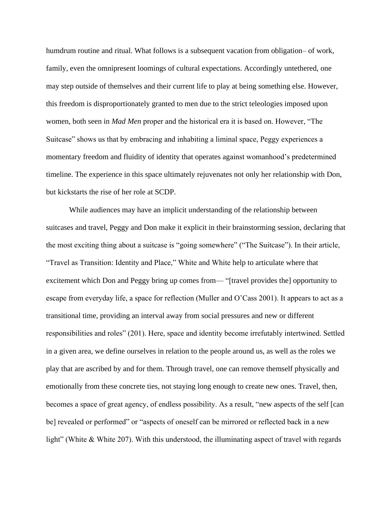humdrum routine and ritual. What follows is a subsequent vacation from obligation– of work, family, even the omnipresent loomings of cultural expectations. Accordingly untethered, one may step outside of themselves and their current life to play at being something else. However, this freedom is disproportionately granted to men due to the strict teleologies imposed upon women, both seen in *Mad Men* proper and the historical era it is based on. However, "The Suitcase" shows us that by embracing and inhabiting a liminal space, Peggy experiences a momentary freedom and fluidity of identity that operates against womanhood's predetermined timeline. The experience in this space ultimately rejuvenates not only her relationship with Don, but kickstarts the rise of her role at SCDP.

While audiences may have an implicit understanding of the relationship between suitcases and travel, Peggy and Don make it explicit in their brainstorming session, declaring that the most exciting thing about a suitcase is "going somewhere" ("The Suitcase"). In their article, "Travel as Transition: Identity and Place," White and White help to articulate where that excitement which Don and Peggy bring up comes from— "[travel provides the] opportunity to escape from everyday life, a space for reflection (Muller and O'Cass 2001). It appears to act as a transitional time, providing an interval away from social pressures and new or different responsibilities and roles" (201). Here, space and identity become irrefutably intertwined. Settled in a given area, we define ourselves in relation to the people around us, as well as the roles we play that are ascribed by and for them. Through travel, one can remove themself physically and emotionally from these concrete ties, not staying long enough to create new ones. Travel, then, becomes a space of great agency, of endless possibility. As a result, "new aspects of the self [can be] revealed or performed" or "aspects of oneself can be mirrored or reflected back in a new light" (White & White 207). With this understood, the illuminating aspect of travel with regards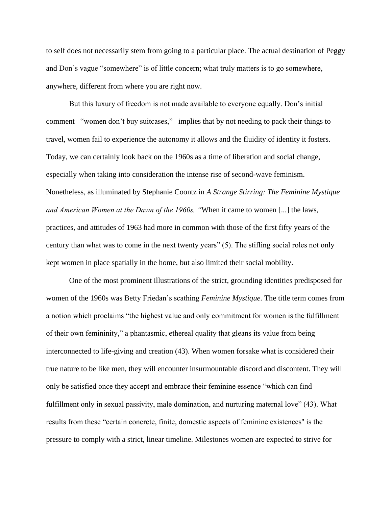to self does not necessarily stem from going to a particular place. The actual destination of Peggy and Don's vague "somewhere" is of little concern; what truly matters is to go somewhere, anywhere, different from where you are right now.

But this luxury of freedom is not made available to everyone equally. Don's initial comment– "women don't buy suitcases,"– implies that by not needing to pack their things to travel, women fail to experience the autonomy it allows and the fluidity of identity it fosters. Today, we can certainly look back on the 1960s as a time of liberation and social change, especially when taking into consideration the intense rise of second-wave feminism. Nonetheless, as illuminated by Stephanie Coontz in *A Strange Stirring: The Feminine Mystique and American Women at the Dawn of the 1960s, "*When it came to women [...] the laws, practices, and attitudes of 1963 had more in common with those of the first fifty years of the century than what was to come in the next twenty years" (5). The stifling social roles not only kept women in place spatially in the home, but also limited their social mobility.

One of the most prominent illustrations of the strict, grounding identities predisposed for women of the 1960s was Betty Friedan's scathing *Feminine Mystique.* The title term comes from a notion which proclaims "the highest value and only commitment for women is the fulfillment of their own femininity," a phantasmic, ethereal quality that gleans its value from being interconnected to life-giving and creation (43). When women forsake what is considered their true nature to be like men, they will encounter insurmountable discord and discontent. They will only be satisfied once they accept and embrace their feminine essence "which can find fulfillment only in sexual passivity, male domination, and nurturing maternal love" (43). What results from these "certain concrete, finite, domestic aspects of feminine existences'' is the pressure to comply with a strict, linear timeline. Milestones women are expected to strive for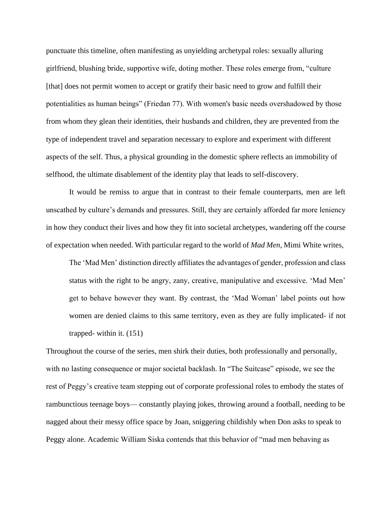punctuate this timeline, often manifesting as unyielding archetypal roles: sexually alluring girlfriend, blushing bride, supportive wife, doting mother. These roles emerge from, "culture [that] does not permit women to accept or gratify their basic need to grow and fulfill their potentialities as human beings" (Friedan 77). With women's basic needs overshadowed by those from whom they glean their identities, their husbands and children, they are prevented from the type of independent travel and separation necessary to explore and experiment with different aspects of the self. Thus, a physical grounding in the domestic sphere reflects an immobility of selfhood, the ultimate disablement of the identity play that leads to self-discovery.

It would be remiss to argue that in contrast to their female counterparts, men are left unscathed by culture's demands and pressures. Still, they are certainly afforded far more leniency in how they conduct their lives and how they fit into societal archetypes, wandering off the course of expectation when needed. With particular regard to the world of *Mad Men*, Mimi White writes,

The 'Mad Men' distinction directly affiliates the advantages of gender, profession and class status with the right to be angry, zany, creative, manipulative and excessive. 'Mad Men' get to behave however they want. By contrast, the 'Mad Woman' label points out how women are denied claims to this same territory, even as they are fully implicated- if not trapped- within it. (151)

Throughout the course of the series, men shirk their duties, both professionally and personally, with no lasting consequence or major societal backlash. In "The Suitcase" episode, we see the rest of Peggy's creative team stepping out of corporate professional roles to embody the states of rambunctious teenage boys— constantly playing jokes, throwing around a football, needing to be nagged about their messy office space by Joan, sniggering childishly when Don asks to speak to Peggy alone. Academic William Siska contends that this behavior of "mad men behaving as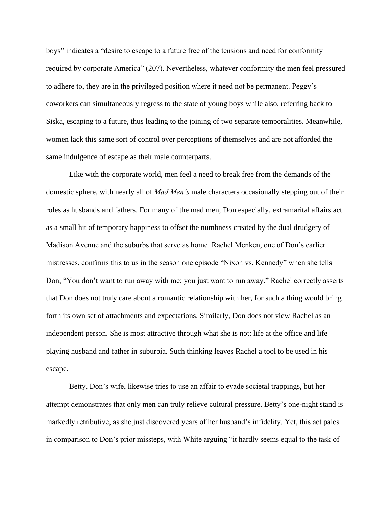boys" indicates a "desire to escape to a future free of the tensions and need for conformity required by corporate America" (207). Nevertheless, whatever conformity the men feel pressured to adhere to, they are in the privileged position where it need not be permanent. Peggy's coworkers can simultaneously regress to the state of young boys while also, referring back to Siska, escaping to a future, thus leading to the joining of two separate temporalities. Meanwhile, women lack this same sort of control over perceptions of themselves and are not afforded the same indulgence of escape as their male counterparts.

Like with the corporate world, men feel a need to break free from the demands of the domestic sphere, with nearly all of *Mad Men's* male characters occasionally stepping out of their roles as husbands and fathers. For many of the mad men, Don especially, extramarital affairs act as a small hit of temporary happiness to offset the numbness created by the dual drudgery of Madison Avenue and the suburbs that serve as home. Rachel Menken, one of Don's earlier mistresses, confirms this to us in the season one episode "Nixon vs. Kennedy" when she tells Don, "You don't want to run away with me; you just want to run away." Rachel correctly asserts that Don does not truly care about a romantic relationship with her, for such a thing would bring forth its own set of attachments and expectations. Similarly, Don does not view Rachel as an independent person. She is most attractive through what she is not: life at the office and life playing husband and father in suburbia. Such thinking leaves Rachel a tool to be used in his escape.

Betty, Don's wife, likewise tries to use an affair to evade societal trappings, but her attempt demonstrates that only men can truly relieve cultural pressure. Betty's one-night stand is markedly retributive, as she just discovered years of her husband's infidelity. Yet, this act pales in comparison to Don's prior missteps, with White arguing "it hardly seems equal to the task of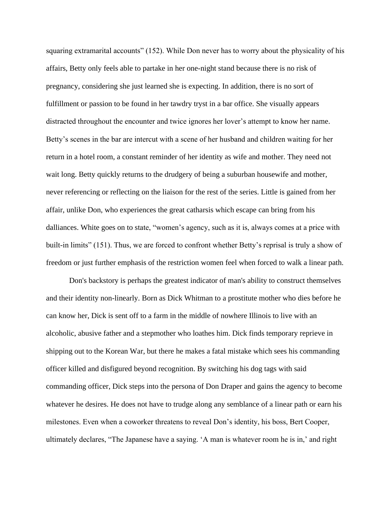squaring extramarital accounts" (152). While Don never has to worry about the physicality of his affairs, Betty only feels able to partake in her one-night stand because there is no risk of pregnancy, considering she just learned she is expecting. In addition, there is no sort of fulfillment or passion to be found in her tawdry tryst in a bar office. She visually appears distracted throughout the encounter and twice ignores her lover's attempt to know her name. Betty's scenes in the bar are intercut with a scene of her husband and children waiting for her return in a hotel room, a constant reminder of her identity as wife and mother. They need not wait long. Betty quickly returns to the drudgery of being a suburban housewife and mother, never referencing or reflecting on the liaison for the rest of the series. Little is gained from her affair, unlike Don, who experiences the great catharsis which escape can bring from his dalliances. White goes on to state, "women's agency, such as it is, always comes at a price with built-in limits" (151). Thus, we are forced to confront whether Betty's reprisal is truly a show of freedom or just further emphasis of the restriction women feel when forced to walk a linear path.

Don's backstory is perhaps the greatest indicator of man's ability to construct themselves and their identity non-linearly. Born as Dick Whitman to a prostitute mother who dies before he can know her, Dick is sent off to a farm in the middle of nowhere Illinois to live with an alcoholic, abusive father and a stepmother who loathes him. Dick finds temporary reprieve in shipping out to the Korean War, but there he makes a fatal mistake which sees his commanding officer killed and disfigured beyond recognition. By switching his dog tags with said commanding officer, Dick steps into the persona of Don Draper and gains the agency to become whatever he desires. He does not have to trudge along any semblance of a linear path or earn his milestones. Even when a coworker threatens to reveal Don's identity, his boss, Bert Cooper, ultimately declares, "The Japanese have a saying. 'A man is whatever room he is in,' and right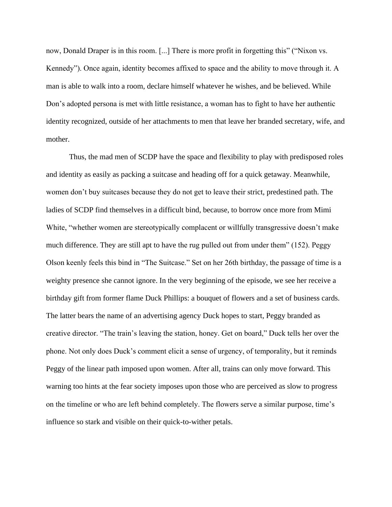now, Donald Draper is in this room. [...] There is more profit in forgetting this" ("Nixon vs. Kennedy"). Once again, identity becomes affixed to space and the ability to move through it. A man is able to walk into a room, declare himself whatever he wishes, and be believed. While Don's adopted persona is met with little resistance, a woman has to fight to have her authentic identity recognized, outside of her attachments to men that leave her branded secretary, wife, and mother.

Thus, the mad men of SCDP have the space and flexibility to play with predisposed roles and identity as easily as packing a suitcase and heading off for a quick getaway. Meanwhile, women don't buy suitcases because they do not get to leave their strict, predestined path. The ladies of SCDP find themselves in a difficult bind, because, to borrow once more from Mimi White, "whether women are stereotypically complacent or willfully transgressive doesn't make much difference. They are still apt to have the rug pulled out from under them" (152). Peggy Olson keenly feels this bind in "The Suitcase." Set on her 26th birthday, the passage of time is a weighty presence she cannot ignore. In the very beginning of the episode, we see her receive a birthday gift from former flame Duck Phillips: a bouquet of flowers and a set of business cards. The latter bears the name of an advertising agency Duck hopes to start, Peggy branded as creative director. "The train's leaving the station, honey. Get on board," Duck tells her over the phone. Not only does Duck's comment elicit a sense of urgency, of temporality, but it reminds Peggy of the linear path imposed upon women. After all, trains can only move forward. This warning too hints at the fear society imposes upon those who are perceived as slow to progress on the timeline or who are left behind completely. The flowers serve a similar purpose, time's influence so stark and visible on their quick-to-wither petals.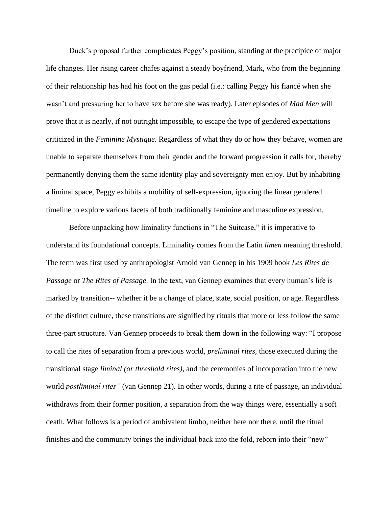Duck's proposal further complicates Peggy's position, standing at the precipice of major life changes. Her rising career chafes against a steady boyfriend, Mark, who from the beginning of their relationship has had his foot on the gas pedal (i.e.: calling Peggy his fiancé when she wasn't and pressuring her to have sex before she was ready). Later episodes of *Mad Men* will prove that it is nearly, if not outright impossible, to escape the type of gendered expectations criticized in the *Feminine Mystique.* Regardless of what they do or how they behave, women are unable to separate themselves from their gender and the forward progression it calls for, thereby permanently denying them the same identity play and sovereignty men enjoy. But by inhabiting a liminal space, Peggy exhibits a mobility of self-expression, ignoring the linear gendered timeline to explore various facets of both traditionally feminine and masculine expression.

Before unpacking how liminality functions in "The Suitcase," it is imperative to understand its foundational concepts. Liminality comes from the Latin *limen* meaning threshold. The term was first used by anthropologist Arnold van Gennep in his 1909 book *Les Rites de Passage* or *The Rites of Passage*. In the text, van Gennep examines that every human's life is marked by transition-- whether it be a change of place, state, social position, or age. Regardless of the distinct culture, these transitions are signified by rituals that more or less follow the same three-part structure. Van Gennep proceeds to break them down in the following way: "I propose to call the rites of separation from a previous world, *preliminal rites,* those executed during the transitional stage *liminal (or threshold rites),* and the ceremonies of incorporation into the new world *postliminal rites"* (van Gennep 21). In other words, during a rite of passage, an individual withdraws from their former position, a separation from the way things were, essentially a soft death. What follows is a period of ambivalent limbo, neither here nor there, until the ritual finishes and the community brings the individual back into the fold, reborn into their "new"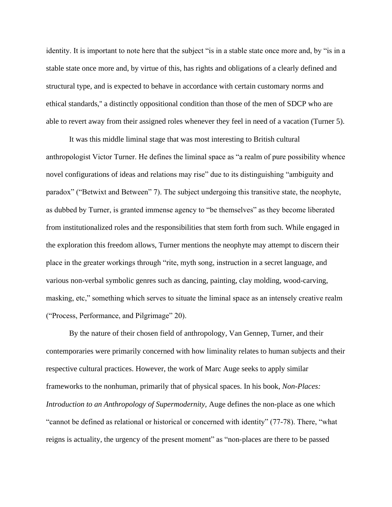identity. It is important to note here that the subject "is in a stable state once more and, by "is in a stable state once more and, by virtue of this, has rights and obligations of a clearly defined and structural type, and is expected to behave in accordance with certain customary norms and ethical standards,'' a distinctly oppositional condition than those of the men of SDCP who are able to revert away from their assigned roles whenever they feel in need of a vacation (Turner 5).

It was this middle liminal stage that was most interesting to British cultural anthropologist Victor Turner. He defines the liminal space as "a realm of pure possibility whence novel configurations of ideas and relations may rise" due to its distinguishing "ambiguity and paradox" ("Betwixt and Between" 7). The subject undergoing this transitive state, the neophyte, as dubbed by Turner, is granted immense agency to "be themselves" as they become liberated from institutionalized roles and the responsibilities that stem forth from such. While engaged in the exploration this freedom allows, Turner mentions the neophyte may attempt to discern their place in the greater workings through "rite, myth song, instruction in a secret language, and various non-verbal symbolic genres such as dancing, painting, clay molding, wood-carving, masking, etc," something which serves to situate the liminal space as an intensely creative realm ("Process, Performance, and Pilgrimage" 20).

By the nature of their chosen field of anthropology, Van Gennep, Turner, and their contemporaries were primarily concerned with how liminality relates to human subjects and their respective cultural practices. However, the work of Marc Auge seeks to apply similar frameworks to the nonhuman, primarily that of physical spaces. In his book, *Non-Places: Introduction to an Anthropology of Supermodernity,* Auge defines the non-place as one which "cannot be defined as relational or historical or concerned with identity" (77-78). There, "what reigns is actuality, the urgency of the present moment" as "non-places are there to be passed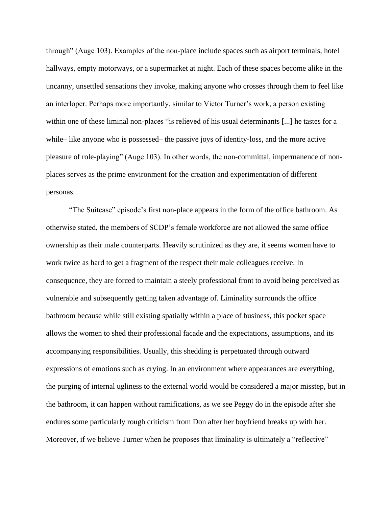through" (Auge 103). Examples of the non-place include spaces such as airport terminals, hotel hallways, empty motorways, or a supermarket at night. Each of these spaces become alike in the uncanny, unsettled sensations they invoke, making anyone who crosses through them to feel like an interloper. Perhaps more importantly, similar to Victor Turner's work, a person existing within one of these liminal non-places "is relieved of his usual determinants [...] he tastes for a while– like anyone who is possessed– the passive joys of identity-loss, and the more active pleasure of role-playing" (Auge 103). In other words, the non-committal, impermanence of nonplaces serves as the prime environment for the creation and experimentation of different personas.

"The Suitcase" episode's first non-place appears in the form of the office bathroom. As otherwise stated, the members of SCDP's female workforce are not allowed the same office ownership as their male counterparts. Heavily scrutinized as they are, it seems women have to work twice as hard to get a fragment of the respect their male colleagues receive. In consequence, they are forced to maintain a steely professional front to avoid being perceived as vulnerable and subsequently getting taken advantage of. Liminality surrounds the office bathroom because while still existing spatially within a place of business, this pocket space allows the women to shed their professional facade and the expectations, assumptions, and its accompanying responsibilities. Usually, this shedding is perpetuated through outward expressions of emotions such as crying. In an environment where appearances are everything, the purging of internal ugliness to the external world would be considered a major misstep, but in the bathroom, it can happen without ramifications, as we see Peggy do in the episode after she endures some particularly rough criticism from Don after her boyfriend breaks up with her. Moreover, if we believe Turner when he proposes that liminality is ultimately a "reflective"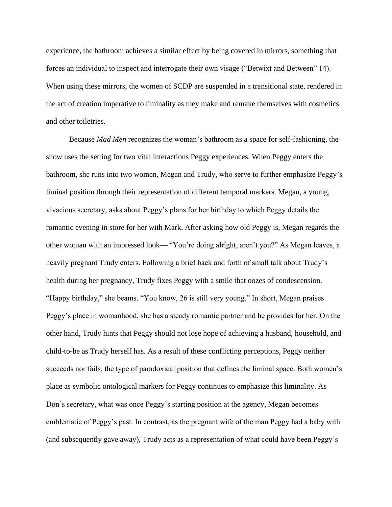experience, the bathroom achieves a similar effect by being covered in mirrors, something that forces an individual to inspect and interrogate their own visage ("Betwixt and Between" 14). When using these mirrors, the women of SCDP are suspended in a transitional state, rendered in the act of creation imperative to liminality as they make and remake themselves with cosmetics and other toiletries.

Because *Mad Men* recognizes the woman's bathroom as a space for self-fashioning, the show uses the setting for two vital interactions Peggy experiences. When Peggy enters the bathroom, she runs into two women, Megan and Trudy, who serve to further emphasize Peggy's liminal position through their representation of different temporal markers. Megan, a young, vivacious secretary, asks about Peggy's plans for her birthday to which Peggy details the romantic evening in store for her with Mark. After asking how old Peggy is, Megan regards the other woman with an impressed look— "You're doing alright, aren't you?" As Megan leaves, a heavily pregnant Trudy enters. Following a brief back and forth of small talk about Trudy's health during her pregnancy, Trudy fixes Peggy with a smile that oozes of condescension. "Happy birthday," she beams. "You know, 26 is still very young." In short, Megan praises Peggy's place in womanhood, she has a steady romantic partner and he provides for her. On the other hand, Trudy hints that Peggy should not lose hope of achieving a husband, household, and child-to-be as Trudy herself has. As a result of these conflicting perceptions, Peggy neither succeeds nor fails, the type of paradoxical position that defines the liminal space. Both women's place as symbolic ontological markers for Peggy continues to emphasize this liminality. As Don's secretary, what was once Peggy's starting position at the agency, Megan becomes emblematic of Peggy's past. In contrast, as the pregnant wife of the man Peggy had a baby with (and subsequently gave away), Trudy acts as a representation of what could have been Peggy's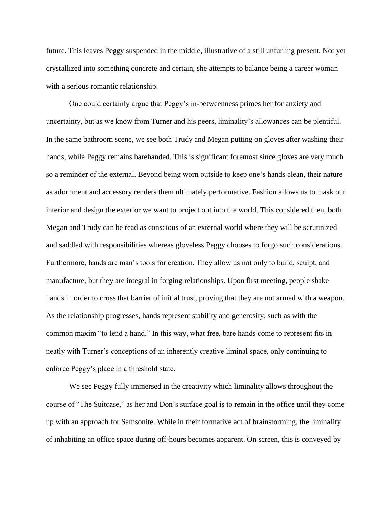future. This leaves Peggy suspended in the middle, illustrative of a still unfurling present. Not yet crystallized into something concrete and certain, she attempts to balance being a career woman with a serious romantic relationship.

One could certainly argue that Peggy's in-betweenness primes her for anxiety and uncertainty, but as we know from Turner and his peers, liminality's allowances can be plentiful. In the same bathroom scene, we see both Trudy and Megan putting on gloves after washing their hands, while Peggy remains barehanded. This is significant foremost since gloves are very much so a reminder of the external. Beyond being worn outside to keep one's hands clean, their nature as adornment and accessory renders them ultimately performative. Fashion allows us to mask our interior and design the exterior we want to project out into the world. This considered then, both Megan and Trudy can be read as conscious of an external world where they will be scrutinized and saddled with responsibilities whereas gloveless Peggy chooses to forgo such considerations. Furthermore, hands are man's tools for creation. They allow us not only to build, sculpt, and manufacture, but they are integral in forging relationships. Upon first meeting, people shake hands in order to cross that barrier of initial trust, proving that they are not armed with a weapon. As the relationship progresses, hands represent stability and generosity, such as with the common maxim "to lend a hand." In this way, what free, bare hands come to represent fits in neatly with Turner's conceptions of an inherently creative liminal space, only continuing to enforce Peggy's place in a threshold state.

We see Peggy fully immersed in the creativity which liminality allows throughout the course of "The Suitcase," as her and Don's surface goal is to remain in the office until they come up with an approach for Samsonite. While in their formative act of brainstorming, the liminality of inhabiting an office space during off-hours becomes apparent. On screen, this is conveyed by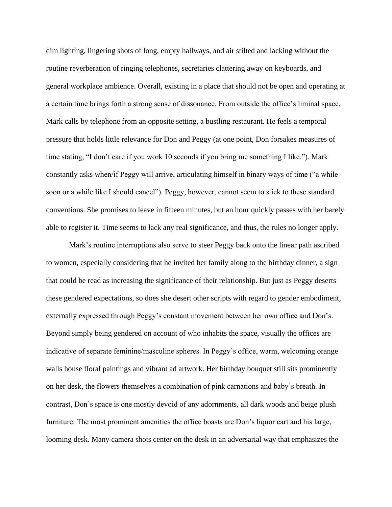dim lighting, lingering shots of long, empty hallways, and air stilted and lacking without the routine reverberation of ringing telephones, secretaries clattering away on keyboards, and general workplace ambience. Overall, existing in a place that should not be open and operating at a certain time brings forth a strong sense of dissonance. From outside the office's liminal space, Mark calls by telephone from an opposite setting, a bustling restaurant. He feels a temporal pressure that holds little relevance for Don and Peggy (at one point, Don forsakes measures of time stating, "I don't care if you work 10 seconds if you bring me something I like."). Mark constantly asks when/if Peggy will arrive, articulating himself in binary ways of time ("a while soon or a while like I should cancel"). Peggy, however, cannot seem to stick to these standard conventions. She promises to leave in fifteen minutes, but an hour quickly passes with her barely able to register it. Time seems to lack any real significance, and thus, the rules no longer apply.

Mark's routine interruptions also serve to steer Peggy back onto the linear path ascribed to women, especially considering that he invited her family along to the birthday dinner, a sign that could be read as increasing the significance of their relationship. But just as Peggy deserts these gendered expectations, so does she desert other scripts with regard to gender embodiment, externally expressed through Peggy's constant movement between her own office and Don's. Beyond simply being gendered on account of who inhabits the space, visually the offices are indicative of separate feminine/masculine spheres. In Peggy's office, warm, welcoming orange walls house floral paintings and vibrant ad artwork. Her birthday bouquet still sits prominently on her desk, the flowers themselves a combination of pink carnations and baby's breath. In contrast, Don's space is one mostly devoid of any adornments, all dark woods and beige plush furniture. The most prominent amenities the office boasts are Don's liquor cart and his large, looming desk. Many camera shots center on the desk in an adversarial way that emphasizes the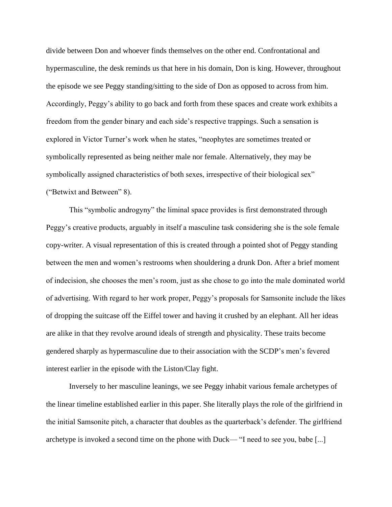divide between Don and whoever finds themselves on the other end. Confrontational and hypermasculine, the desk reminds us that here in his domain, Don is king. However, throughout the episode we see Peggy standing/sitting to the side of Don as opposed to across from him. Accordingly, Peggy's ability to go back and forth from these spaces and create work exhibits a freedom from the gender binary and each side's respective trappings. Such a sensation is explored in Victor Turner's work when he states, "neophytes are sometimes treated or symbolically represented as being neither male nor female. Alternatively, they may be symbolically assigned characteristics of both sexes, irrespective of their biological sex" ("Betwixt and Between" 8).

This "symbolic androgyny" the liminal space provides is first demonstrated through Peggy's creative products, arguably in itself a masculine task considering she is the sole female copy-writer. A visual representation of this is created through a pointed shot of Peggy standing between the men and women's restrooms when shouldering a drunk Don. After a brief moment of indecision, she chooses the men's room, just as she chose to go into the male dominated world of advertising. With regard to her work proper, Peggy's proposals for Samsonite include the likes of dropping the suitcase off the Eiffel tower and having it crushed by an elephant. All her ideas are alike in that they revolve around ideals of strength and physicality. These traits become gendered sharply as hypermasculine due to their association with the SCDP's men's fevered interest earlier in the episode with the Liston/Clay fight.

Inversely to her masculine leanings, we see Peggy inhabit various female archetypes of the linear timeline established earlier in this paper. She literally plays the role of the girlfriend in the initial Samsonite pitch, a character that doubles as the quarterback's defender. The girlfriend archetype is invoked a second time on the phone with Duck— "I need to see you, babe [...]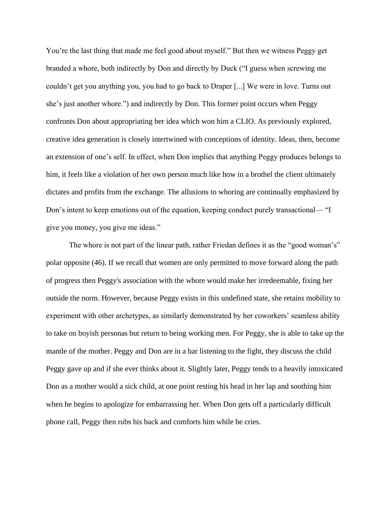You're the last thing that made me feel good about myself." But then we witness Peggy get branded a whore, both indirectly by Don and directly by Duck ("I guess when screwing me couldn't get you anything you, you had to go back to Draper [...] We were in love. Turns out she's just another whore.") and indirectly by Don. This former point occurs when Peggy confronts Don about appropriating her idea which won him a CLIO. As previously explored, creative idea generation is closely intertwined with conceptions of identity. Ideas, then, become an extension of one's self. In effect, when Don implies that anything Peggy produces belongs to him, it feels like a violation of her own person much like how in a brothel the client ultimately dictates and profits from the exchange. The allusions to whoring are continually emphasized by Don's intent to keep emotions out of the equation, keeping conduct purely transactional— "I give you money, you give me ideas."

The whore is not part of the linear path, rather Friedan defines it as the "good woman's" polar opposite (46). If we recall that women are only permitted to move forward along the path of progress then Peggy's association with the whore would make her irredeemable, fixing her outside the norm. However, because Peggy exists in this undefined state, she retains mobility to experiment with other archetypes, as similarly demonstrated by her coworkers' seamless ability to take on boyish personas but return to being working men. For Peggy, she is able to take up the mantle of the mother. Peggy and Don are in a bar listening to the fight, they discuss the child Peggy gave up and if she ever thinks about it. Slightly later, Peggy tends to a heavily intoxicated Don as a mother would a sick child, at one point resting his head in her lap and soothing him when he begins to apologize for embarrassing her. When Don gets off a particularly difficult phone call, Peggy then rubs his back and comforts him while he cries.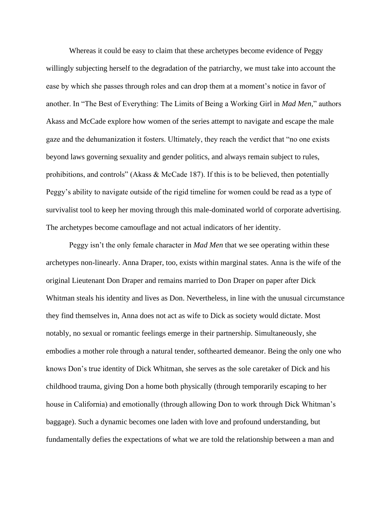Whereas it could be easy to claim that these archetypes become evidence of Peggy willingly subjecting herself to the degradation of the patriarchy, we must take into account the ease by which she passes through roles and can drop them at a moment's notice in favor of another. In "The Best of Everything: The Limits of Being a Working Girl in *Mad Men,*" authors Akass and McCade explore how women of the series attempt to navigate and escape the male gaze and the dehumanization it fosters. Ultimately, they reach the verdict that "no one exists beyond laws governing sexuality and gender politics, and always remain subject to rules, prohibitions, and controls" (Akass & McCade 187). If this is to be believed, then potentially Peggy's ability to navigate outside of the rigid timeline for women could be read as a type of survivalist tool to keep her moving through this male-dominated world of corporate advertising. The archetypes become camouflage and not actual indicators of her identity.

Peggy isn't the only female character in *Mad Men* that we see operating within these archetypes non-linearly. Anna Draper, too, exists within marginal states. Anna is the wife of the original Lieutenant Don Draper and remains married to Don Draper on paper after Dick Whitman steals his identity and lives as Don. Nevertheless, in line with the unusual circumstance they find themselves in, Anna does not act as wife to Dick as society would dictate. Most notably, no sexual or romantic feelings emerge in their partnership. Simultaneously, she embodies a mother role through a natural tender, softhearted demeanor. Being the only one who knows Don's true identity of Dick Whitman, she serves as the sole caretaker of Dick and his childhood trauma, giving Don a home both physically (through temporarily escaping to her house in California) and emotionally (through allowing Don to work through Dick Whitman's baggage). Such a dynamic becomes one laden with love and profound understanding, but fundamentally defies the expectations of what we are told the relationship between a man and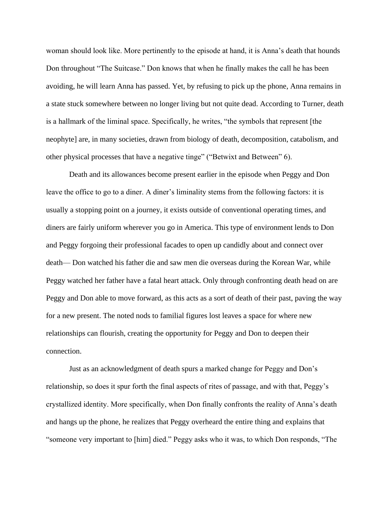woman should look like. More pertinently to the episode at hand, it is Anna's death that hounds Don throughout "The Suitcase." Don knows that when he finally makes the call he has been avoiding, he will learn Anna has passed. Yet, by refusing to pick up the phone, Anna remains in a state stuck somewhere between no longer living but not quite dead. According to Turner, death is a hallmark of the liminal space. Specifically, he writes, "the symbols that represent [the neophyte] are, in many societies, drawn from biology of death, decomposition, catabolism, and other physical processes that have a negative tinge" ("Betwixt and Between" 6).

Death and its allowances become present earlier in the episode when Peggy and Don leave the office to go to a diner. A diner's liminality stems from the following factors: it is usually a stopping point on a journey, it exists outside of conventional operating times, and diners are fairly uniform wherever you go in America. This type of environment lends to Don and Peggy forgoing their professional facades to open up candidly about and connect over death— Don watched his father die and saw men die overseas during the Korean War, while Peggy watched her father have a fatal heart attack. Only through confronting death head on are Peggy and Don able to move forward, as this acts as a sort of death of their past, paving the way for a new present. The noted nods to familial figures lost leaves a space for where new relationships can flourish, creating the opportunity for Peggy and Don to deepen their connection.

Just as an acknowledgment of death spurs a marked change for Peggy and Don's relationship, so does it spur forth the final aspects of rites of passage, and with that, Peggy's crystallized identity. More specifically, when Don finally confronts the reality of Anna's death and hangs up the phone, he realizes that Peggy overheard the entire thing and explains that "someone very important to [him] died." Peggy asks who it was, to which Don responds, "The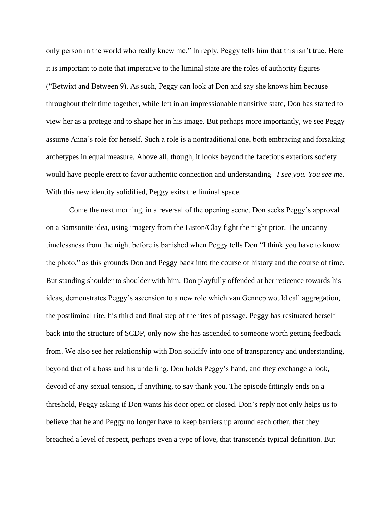only person in the world who really knew me." In reply, Peggy tells him that this isn't true. Here it is important to note that imperative to the liminal state are the roles of authority figures ("Betwixt and Between 9). As such, Peggy can look at Don and say she knows him because throughout their time together, while left in an impressionable transitive state, Don has started to view her as a protege and to shape her in his image. But perhaps more importantly, we see Peggy assume Anna's role for herself. Such a role is a nontraditional one, both embracing and forsaking archetypes in equal measure. Above all, though, it looks beyond the facetious exteriors society would have people erect to favor authentic connection and understanding– *I see you. You see me*. With this new identity solidified, Peggy exits the liminal space.

Come the next morning, in a reversal of the opening scene, Don seeks Peggy's approval on a Samsonite idea, using imagery from the Liston/Clay fight the night prior. The uncanny timelessness from the night before is banished when Peggy tells Don "I think you have to know the photo," as this grounds Don and Peggy back into the course of history and the course of time. But standing shoulder to shoulder with him, Don playfully offended at her reticence towards his ideas, demonstrates Peggy's ascension to a new role which van Gennep would call aggregation, the postliminal rite, his third and final step of the rites of passage. Peggy has resituated herself back into the structure of SCDP, only now she has ascended to someone worth getting feedback from. We also see her relationship with Don solidify into one of transparency and understanding, beyond that of a boss and his underling. Don holds Peggy's hand, and they exchange a look, devoid of any sexual tension, if anything, to say thank you. The episode fittingly ends on a threshold, Peggy asking if Don wants his door open or closed. Don's reply not only helps us to believe that he and Peggy no longer have to keep barriers up around each other, that they breached a level of respect, perhaps even a type of love, that transcends typical definition. But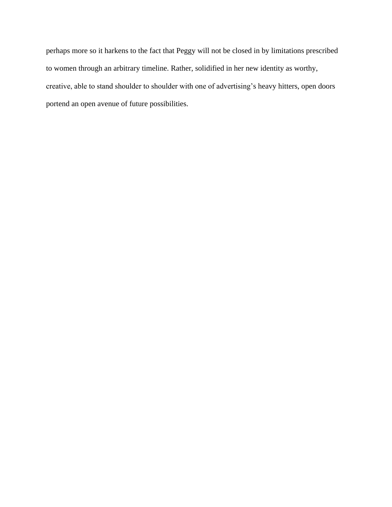perhaps more so it harkens to the fact that Peggy will not be closed in by limitations prescribed to women through an arbitrary timeline. Rather, solidified in her new identity as worthy, creative, able to stand shoulder to shoulder with one of advertising's heavy hitters, open doors portend an open avenue of future possibilities.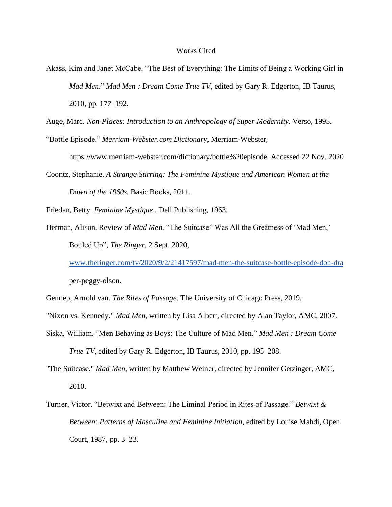## Works Cited

Akass, Kim and Janet McCabe. "The Best of Everything: The Limits of Being a Working Girl in *Mad Men*." *Mad Men : Dream Come True TV*, edited by Gary R. Edgerton, IB Taurus, 2010, pp. 177–192.

Auge, Marc. *Non-Places: Introduction to an Anthropology of Super Modernity*. Verso, 1995.

"Bottle Episode." *Merriam-Webster.com Dictionary*, Merriam-Webster,

https://www.merriam-webster.com/dictionary/bottle%20episode. Accessed 22 Nov. 2020

Coontz, Stephanie. *A Strange Stirring: The Feminine Mystique and American Women at the Dawn of the 1960s.* Basic Books, 2011.

Friedan, Betty. *Feminine Mystique* . Dell Publishing, 1963.

Herman, Alison. Review of *Mad Men.* "The Suitcase" Was All the Greatness of 'Mad Men,' Bottled Up"*, The Ringer*, 2 Sept. 2020,

[www.theringer.com/tv/2020/9/2/21417597/mad-men-the-suitcase-bottle-episode-don-dra](http://www.theringer.com/tv/2020/9/2/21417597/mad-men-the-suitcase-bottle-episode-don-dra) per-peggy-olson.

Gennep, Arnold van. *The Rites of Passage*. The University of Chicago Press, 2019.

"Nixon vs. Kennedy." *Mad Men*, written by Lisa Albert, directed by Alan Taylor, AMC, 2007.

Siska, William. "Men Behaving as Boys: The Culture of Mad Men." *Mad Men : Dream Come True TV*, edited by Gary R. Edgerton, IB Taurus, 2010, pp. 195–208.

"The Suitcase." *Mad Men*, written by Matthew Weiner, directed by Jennifer Getzinger, AMC, 2010.

Turner, Victor. "Betwixt and Between: The Liminal Period in Rites of Passage." *Betwixt & Between: Patterns of Masculine and Feminine Initiation*, edited by Louise Mahdi, Open Court, 1987, pp. 3–23.